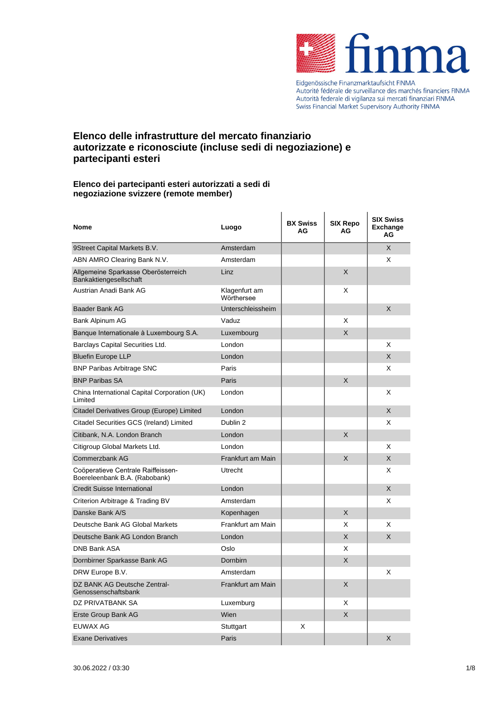

Eidgenössische Finanzmarktaufsicht FINMA Autorité fédérale de surveillance des marchés financiers FINMA<br>Autorité fédérale de surveillance des marchés financiers FINMA Swiss Financial Market Supervisory Authority FINMA

# **Elenco delle infrastrutture del mercato finanziario autorizzate e riconosciute (incluse sedi di negoziazione) e partecipanti esteri**

### **Elenco dei partecipanti esteri autorizzati a sedi di negoziazione svizzere (remote member)**

| Nome                                                                | Luogo                       | <b>BX Swiss</b><br>AG | SIX Repo<br>AG | <b>SIX Swiss</b><br><b>Exchange</b><br>AG |
|---------------------------------------------------------------------|-----------------------------|-----------------------|----------------|-------------------------------------------|
| 9Street Capital Markets B.V.                                        | Amsterdam                   |                       |                | $\times$                                  |
| ABN AMRO Clearing Bank N.V.                                         | Amsterdam                   |                       |                | X                                         |
| Allgemeine Sparkasse Oberösterreich<br>Bankaktiengesellschaft       | Linz                        |                       | X              |                                           |
| Austrian Anadi Bank AG                                              | Klagenfurt am<br>Wörthersee |                       | X              |                                           |
| <b>Baader Bank AG</b>                                               | Unterschleissheim           |                       |                | X                                         |
| Bank Alpinum AG                                                     | Vaduz                       |                       | X              |                                           |
| Banque Internationale à Luxembourg S.A.                             | Luxembourg                  |                       | X              |                                           |
| Barclays Capital Securities Ltd.                                    | London                      |                       |                | X                                         |
| <b>Bluefin Europe LLP</b>                                           | London                      |                       |                | X                                         |
| <b>BNP Paribas Arbitrage SNC</b>                                    | Paris                       |                       |                | X                                         |
| <b>BNP Paribas SA</b>                                               | Paris                       |                       | X              |                                           |
| China International Capital Corporation (UK)<br>Limited             | London                      |                       |                | X                                         |
| Citadel Derivatives Group (Europe) Limited                          | London                      |                       |                | X                                         |
| Citadel Securities GCS (Ireland) Limited                            | Dublin 2                    |                       |                | X                                         |
| Citibank, N.A. London Branch                                        | London                      |                       | X              |                                           |
| Citigroup Global Markets Ltd.                                       | London                      |                       |                | X                                         |
| Commerzbank AG                                                      | Frankfurt am Main           |                       | X              | X                                         |
| Coöperatieve Centrale Raiffeissen-<br>Boereleenbank B.A. (Rabobank) | Utrecht                     |                       |                | X                                         |
| <b>Credit Suisse International</b>                                  | London                      |                       |                | X                                         |
| Criterion Arbitrage & Trading BV                                    | Amsterdam                   |                       |                | X                                         |
| Danske Bank A/S                                                     | Kopenhagen                  |                       | X              |                                           |
| Deutsche Bank AG Global Markets                                     | Frankfurt am Main           |                       | X              | X                                         |
| Deutsche Bank AG London Branch                                      | London                      |                       | X              | X                                         |
| <b>DNB Bank ASA</b>                                                 | Oslo                        |                       | X              |                                           |
| Dornbirner Sparkasse Bank AG                                        | Dornbirn                    |                       | X              |                                           |
| DRW Europe B.V.                                                     | Amsterdam                   |                       |                | X                                         |
| DZ BANK AG Deutsche Zentral-<br>Genossenschaftsbank                 | Frankfurt am Main           |                       | X              |                                           |
| DZ PRIVATBANK SA                                                    | Luxemburg                   |                       | X              |                                           |
| Erste Group Bank AG                                                 | Wien                        |                       | X              |                                           |
| <b>EUWAX AG</b>                                                     | Stuttgart                   | X                     |                |                                           |
| <b>Exane Derivatives</b>                                            | Paris                       |                       |                | X                                         |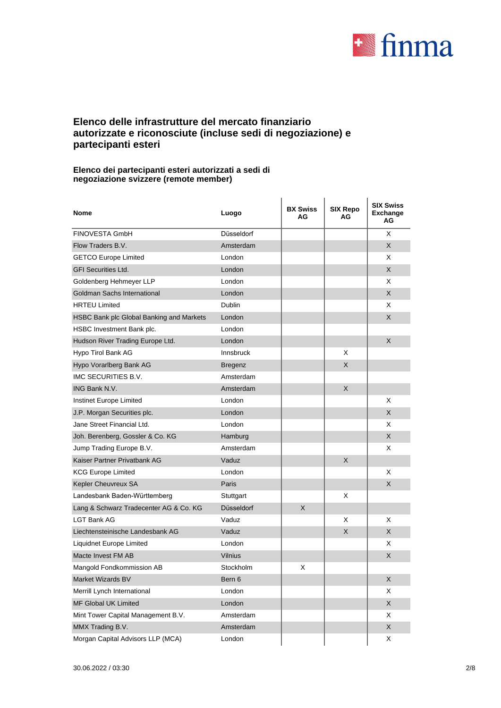

## **Elenco delle infrastrutture del mercato finanziario autorizzate e riconosciute (incluse sedi di negoziazione) e partecipanti esteri**

### **Elenco dei partecipanti esteri autorizzati a sedi di negoziazione svizzere (remote member)**

| <b>Nome</b>                              | Luogo            | <b>BX Swiss</b><br>AG | <b>SIX Repo</b><br>AG | <b>SIX Swiss</b><br><b>Exchange</b><br>AG |
|------------------------------------------|------------------|-----------------------|-----------------------|-------------------------------------------|
| <b>FINOVESTA GmbH</b>                    | Düsseldorf       |                       |                       | X                                         |
| Flow Traders B.V.                        | Amsterdam        |                       |                       | X                                         |
| <b>GETCO Europe Limited</b>              | London           |                       |                       | X                                         |
| <b>GFI Securities Ltd.</b>               | London           |                       |                       | X                                         |
| Goldenberg Hehmeyer LLP                  | London           |                       |                       | X                                         |
| Goldman Sachs International              | London           |                       |                       | X                                         |
| <b>HRTEU Limited</b>                     | Dublin           |                       |                       | X                                         |
| HSBC Bank plc Global Banking and Markets | London           |                       |                       | X                                         |
| HSBC Investment Bank plc.                | London           |                       |                       |                                           |
| Hudson River Trading Europe Ltd.         | London           |                       |                       | X                                         |
| Hypo Tirol Bank AG                       | <b>Innsbruck</b> |                       | X                     |                                           |
| Hypo Vorarlberg Bank AG                  | <b>Bregenz</b>   |                       | X                     |                                           |
| IMC SECURITIES B.V.                      | Amsterdam        |                       |                       |                                           |
| ING Bank N.V.                            | Amsterdam        |                       | X                     |                                           |
| Instinet Europe Limited                  | London           |                       |                       | X                                         |
| J.P. Morgan Securities plc.              | London           |                       |                       | X                                         |
| Jane Street Financial Ltd.               | London           |                       |                       | X                                         |
| Joh. Berenberg, Gossler & Co. KG         | Hamburg          |                       |                       | X                                         |
| Jump Trading Europe B.V.                 | Amsterdam        |                       |                       | X                                         |
| Kaiser Partner Privatbank AG             | Vaduz            |                       | X                     |                                           |
| <b>KCG Europe Limited</b>                | London           |                       |                       | X                                         |
| Kepler Cheuvreux SA                      | Paris            |                       |                       | X                                         |
| Landesbank Baden-Württemberg             | Stuttgart        |                       | X                     |                                           |
| Lang & Schwarz Tradecenter AG & Co. KG   | Düsseldorf       | X.                    |                       |                                           |
| I GT Bank AG                             | Vaduz            |                       | X                     | X                                         |
| Liechtensteinische Landesbank AG         | Vaduz            |                       | X                     | X                                         |
| Liquidnet Europe Limited                 | London           |                       |                       | X                                         |
| Macte Invest FM AB                       | Vilnius          |                       |                       | X                                         |
| Mangold Fondkommission AB                | Stockholm        | х                     |                       |                                           |
| Market Wizards BV                        | Bern 6           |                       |                       | X                                         |
| Merrill Lynch International              | London           |                       |                       | Χ                                         |
| MF Global UK Limited                     | London           |                       |                       | X                                         |
| Mint Tower Capital Management B.V.       | Amsterdam        |                       |                       | X                                         |
| MMX Trading B.V.                         | Amsterdam        |                       |                       | X                                         |
| Morgan Capital Advisors LLP (MCA)        | London           |                       |                       | X                                         |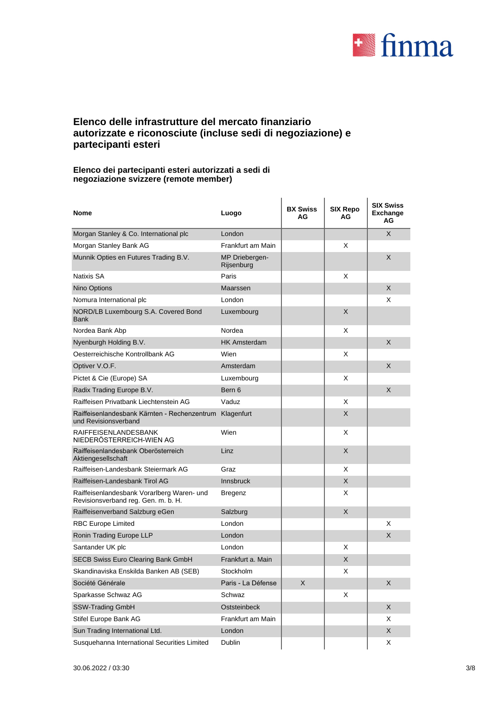

## **Elenco delle infrastrutture del mercato finanziario autorizzate e riconosciute (incluse sedi di negoziazione) e partecipanti esteri**

### **Elenco dei partecipanti esteri autorizzati a sedi di negoziazione svizzere (remote member)**

| <b>Nome</b>                                                                       | Luogo                        | <b>BX Swiss</b><br>AG | SIX Repo<br>AG | <b>SIX Swiss</b><br><b>Exchange</b><br>ΑG |
|-----------------------------------------------------------------------------------|------------------------------|-----------------------|----------------|-------------------------------------------|
| Morgan Stanley & Co. International plc                                            | London                       |                       |                | X                                         |
| Morgan Stanley Bank AG                                                            | Frankfurt am Main            |                       | X              |                                           |
| Munnik Opties en Futures Trading B.V.                                             | MP Driebergen-<br>Rijsenburg |                       |                | X                                         |
| <b>Natixis SA</b>                                                                 | Paris                        |                       | X              |                                           |
| Nino Options                                                                      | Maarssen                     |                       |                | X                                         |
| Nomura International plc                                                          | London                       |                       |                | X                                         |
| NORD/LB Luxembourg S.A. Covered Bond<br><b>Bank</b>                               | Luxembourg                   |                       | X              |                                           |
| Nordea Bank Abp                                                                   | Nordea                       |                       | X              |                                           |
| Nyenburgh Holding B.V.                                                            | <b>HK Amsterdam</b>          |                       |                | X                                         |
| Oesterreichische Kontrollbank AG                                                  | Wien                         |                       | X              |                                           |
| Optiver V.O.F.                                                                    | Amsterdam                    |                       |                | X                                         |
| Pictet & Cie (Europe) SA                                                          | Luxembourg                   |                       | X              |                                           |
| Radix Trading Europe B.V.                                                         | Bern 6                       |                       |                | X                                         |
| Raiffeisen Privatbank Liechtenstein AG                                            | Vaduz                        |                       | X              |                                           |
| Raiffeisenlandesbank Kärnten - Rechenzentrum<br>und Revisionsverband              | Klagenfurt                   |                       | X              |                                           |
| <b>RAIFFEISENLANDESBANK</b><br>NIEDERÖSTERREICH-WIEN AG                           | Wien                         |                       | X              |                                           |
| Raiffeisenlandesbank Oberösterreich<br>Aktiengesellschaft                         | Linz                         |                       | X              |                                           |
| Raiffeisen-Landesbank Steiermark AG                                               | Graz                         |                       | X              |                                           |
| Raiffeisen-Landesbank Tirol AG                                                    | <b>Innsbruck</b>             |                       | X              |                                           |
| Raiffeisenlandesbank Vorarlberg Waren- und<br>Revisionsverband reg. Gen. m. b. H. | Bregenz                      |                       | X              |                                           |
| Raiffeisenverband Salzburg eGen                                                   | Salzburg                     |                       | X              |                                           |
| <b>RBC Europe Limited</b>                                                         | London                       |                       |                | X                                         |
| Ronin Trading Europe LLP                                                          | London                       |                       |                | X                                         |
| Santander UK plc                                                                  | London                       |                       | X              |                                           |
| SECB Swiss Euro Clearing Bank GmbH                                                | Frankfurt a. Main            |                       | X              |                                           |
| Skandinaviska Enskilda Banken AB (SEB)                                            | Stockholm                    |                       | X              |                                           |
| Société Générale                                                                  | Paris - La Défense           | X                     |                | X                                         |
| Sparkasse Schwaz AG                                                               | Schwaz                       |                       | Χ              |                                           |
| SSW-Trading GmbH                                                                  | Oststeinbeck                 |                       |                | X                                         |
| Stifel Europe Bank AG                                                             | Frankfurt am Main            |                       |                | X                                         |
| Sun Trading International Ltd.                                                    | London                       |                       |                | X                                         |
| Susquehanna International Securities Limited                                      | <b>Dublin</b>                |                       |                | X                                         |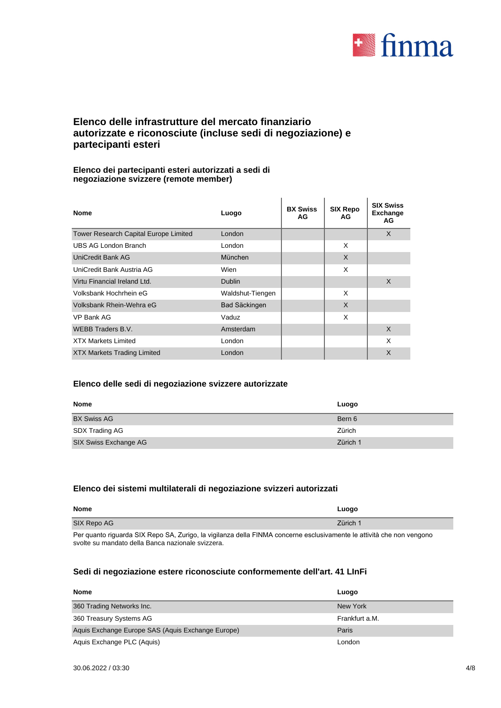

## **Elenco delle infrastrutture del mercato finanziario autorizzate e riconosciute (incluse sedi di negoziazione) e partecipanti esteri**

### **Elenco dei partecipanti esteri autorizzati a sedi di negoziazione svizzere (remote member)**

| <b>Nome</b>                           | Luogo                | <b>BX Swiss</b><br>AG | <b>SIX Repo</b><br>AG | <b>SIX Swiss</b><br><b>Exchange</b><br>AG |
|---------------------------------------|----------------------|-----------------------|-----------------------|-------------------------------------------|
| Tower Research Capital Europe Limited | London               |                       |                       | X                                         |
| <b>UBS AG London Branch</b>           | London               |                       | X                     |                                           |
| <b>UniCredit Bank AG</b>              | München              |                       | X                     |                                           |
| UniCredit Bank Austria AG             | Wien                 |                       | X                     |                                           |
| Virtu Financial Ireland Ltd.          | <b>Dublin</b>        |                       |                       | X                                         |
| Volksbank Hochrhein eG                | Waldshut-Tiengen     |                       | X                     |                                           |
| Volksbank Rhein-Wehra eG              | <b>Bad Säckingen</b> |                       | X                     |                                           |
| VP Bank AG                            | Vaduz                |                       | X                     |                                           |
| <b>WEBB Traders B.V.</b>              | Amsterdam            |                       |                       | X                                         |
| <b>XTX Markets Limited</b>            | London               |                       |                       | X                                         |
| <b>XTX Markets Trading Limited</b>    | London               |                       |                       | X                                         |

### **Elenco delle sedi di negoziazione svizzere autorizzate**

| Nome                  | Luogo    |
|-----------------------|----------|
| <b>BX Swiss AG</b>    | Bern 6   |
| SDX Trading AG        | Zürich   |
| SIX Swiss Exchange AG | Zürich 1 |

### **Elenco dei sistemi multilaterali di negoziazione svizzeri autorizzati**

| <b>Nome</b> | Luogo    |
|-------------|----------|
| SIX Repo AG | Zürich 1 |
|             |          |

Per quanto riguarda SIX Repo SA, Zurigo, la vigilanza della FINMA concerne esclusivamente le attività che non vengono svolte su mandato della Banca nazionale svizzera.

## **Sedi di negoziazione estere riconosciute conformemente dell'art. 41 LInFi**

| <b>Nome</b>                                       | Luogo          |
|---------------------------------------------------|----------------|
| 360 Trading Networks Inc.                         | New York       |
| 360 Treasury Systems AG                           | Frankfurt a.M. |
| Aquis Exchange Europe SAS (Aquis Exchange Europe) | Paris          |
| Aquis Exchange PLC (Aquis)                        | London         |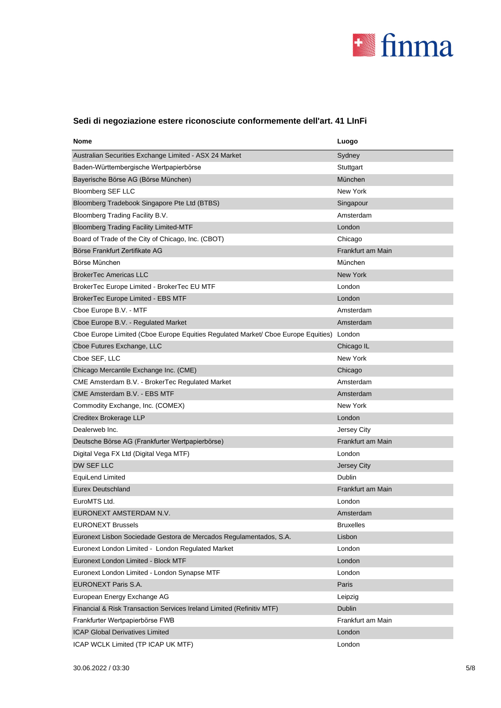

# **Sedi di negoziazione estere riconosciute conformemente dell'art. 41 LInFi**

| Nome                                                                              | Luogo             |
|-----------------------------------------------------------------------------------|-------------------|
| Australian Securities Exchange Limited - ASX 24 Market                            | Sydney            |
| Baden-Württembergische Wertpapierbörse                                            | Stuttgart         |
| Bayerische Börse AG (Börse München)                                               | München           |
| <b>Bloomberg SEF LLC</b>                                                          | New York          |
| Bloomberg Tradebook Singapore Pte Ltd (BTBS)                                      | Singapour         |
| Bloomberg Trading Facility B.V.                                                   | Amsterdam         |
| <b>Bloomberg Trading Facility Limited-MTF</b>                                     | London            |
| Board of Trade of the City of Chicago, Inc. (CBOT)                                | Chicago           |
| Börse Frankfurt Zertifikate AG                                                    | Frankfurt am Main |
| Börse München                                                                     | München           |
| <b>BrokerTec Americas LLC</b>                                                     | New York          |
| BrokerTec Europe Limited - BrokerTec EU MTF                                       | London            |
| BrokerTec Europe Limited - EBS MTF                                                | London            |
| Cboe Europe B.V. - MTF                                                            | Amsterdam         |
| Cboe Europe B.V. - Regulated Market                                               | Amsterdam         |
| Cboe Europe Limited (Cboe Europe Equities Regulated Market/ Cboe Europe Equities) | London            |
| Cboe Futures Exchange, LLC                                                        | Chicago IL        |
| Cboe SEF, LLC                                                                     | New York          |
| Chicago Mercantile Exchange Inc. (CME)                                            | Chicago           |
| CME Amsterdam B.V. - BrokerTec Regulated Market                                   | Amsterdam         |
| CME Amsterdam B.V. - EBS MTF                                                      | Amsterdam         |
| Commodity Exchange, Inc. (COMEX)                                                  | New York          |
| Creditex Brokerage LLP                                                            | London            |
| Dealerweb Inc.                                                                    | Jersey City       |
| Deutsche Börse AG (Frankfurter Wertpapierbörse)                                   | Frankfurt am Main |
| Digital Vega FX Ltd (Digital Vega MTF)                                            | London            |
| DW SEF LLC                                                                        | Jersey City       |
| EquiLend Limited                                                                  | Dublin            |
| <b>Eurex Deutschland</b>                                                          | Frankfurt am Main |
| EuroMTS Ltd.                                                                      | London            |
| EURONEXT AMSTERDAM N.V.                                                           | Amsterdam         |
| <b>EURONEXT Brussels</b>                                                          | <b>Bruxelles</b>  |
| Euronext Lisbon Sociedade Gestora de Mercados Regulamentados, S.A.                | Lisbon            |
| Euronext London Limited - London Regulated Market                                 | London            |
| Euronext London Limited - Block MTF                                               | London            |
| Euronext London Limited - London Synapse MTF                                      | London            |
| EURONEXT Paris S.A.                                                               | Paris             |
| European Energy Exchange AG                                                       | Leipzig           |
| Financial & Risk Transaction Services Ireland Limited (Refinitiv MTF)             | Dublin            |
| Frankfurter Wertpapierbörse FWB                                                   | Frankfurt am Main |
| <b>ICAP Global Derivatives Limited</b>                                            | London            |
| ICAP WCLK Limited (TP ICAP UK MTF)                                                | London            |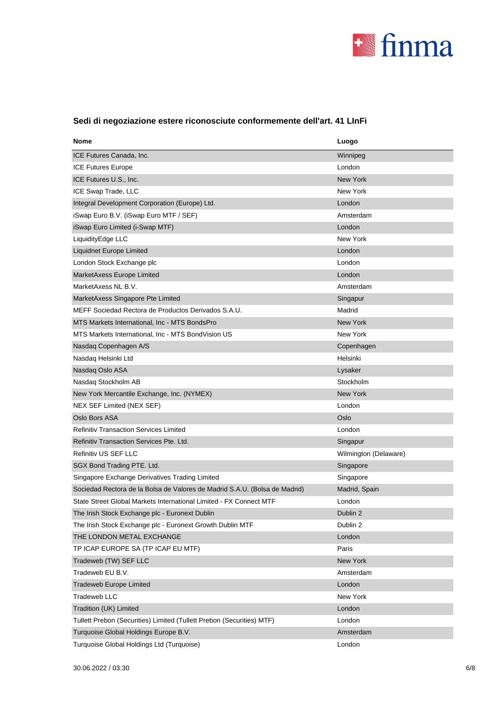

| Nome                                                                       | Luogo                 |
|----------------------------------------------------------------------------|-----------------------|
| ICE Futures Canada, Inc.                                                   | Winnipeg              |
| <b>ICE Futures Europe</b>                                                  | London                |
| ICE Futures U.S., Inc.                                                     | <b>New York</b>       |
| ICE Swap Trade, LLC                                                        | New York              |
| Integral Development Corporation (Europe) Ltd.                             | London                |
| iSwap Euro B.V. (iSwap Euro MTF / SEF)                                     | Amsterdam             |
| iSwap Euro Limited (i-Swap MTF)                                            | London                |
| LiquidityEdge LLC                                                          | New York              |
| Liquidnet Europe Limited                                                   | London                |
| London Stock Exchange plc                                                  | London                |
| MarketAxess Europe Limited                                                 | London                |
| MarketAxess NL B.V.                                                        | Amsterdam             |
| MarketAxess Singapore Pte Limited                                          | Singapur              |
| MEFF Sociedad Rectora de Productos Derivados S.A.U.                        | Madrid                |
| MTS Markets International, Inc - MTS BondsPro                              | <b>New York</b>       |
| MTS Markets International, Inc - MTS BondVision US                         | New York              |
| Nasdaq Copenhagen A/S                                                      | Copenhagen            |
| Nasdaq Helsinki Ltd                                                        | Helsinki              |
| Nasdaq Oslo ASA                                                            | Lysaker               |
| Nasdaq Stockholm AB                                                        | Stockholm             |
| New York Mercantile Exchange, Inc. (NYMEX)                                 | New York              |
| NEX SEF Limited (NEX SEF)                                                  | London                |
| Oslo Bors ASA                                                              | Oslo                  |
| <b>Refinitiv Transaction Services Limited</b>                              | London                |
| Refinitiv Transaction Services Pte. Ltd.                                   | Singapur              |
| Refinitiv US SEF LLC                                                       | Wilmington (Delaware) |
| SGX Bond Trading PTE. Ltd.                                                 | Singapore             |
| Singapore Exchange Derivatives Trading Limited                             | Singapore             |
| Sociedad Rectora de la Bolsa de Valores de Madrid S.A.U. (Bolsa de Madrid) | Madrid, Spain         |
| State Street Global Markets International Limited - FX Connect MTF         | London                |
| The Irish Stock Exchange plc - Euronext Dublin                             | Dublin 2              |
| The Irish Stock Exchange plc - Euronext Growth Dublin MTF                  | Dublin 2              |
| THE LONDON METAL EXCHANGE                                                  | London                |
| TP ICAP EUROPE SA (TP ICAP EU MTF)                                         | Paris                 |
| Tradeweb (TW) SEF LLC                                                      | New York              |
| Tradeweb EU B.V.                                                           | Amsterdam             |
| Tradeweb Europe Limited                                                    | London                |
| Tradeweb LLC                                                               | New York              |
| Tradition (UK) Limited                                                     | London                |
| Tullett Prebon (Securities) Limited (Tullett Prebon (Securities) MTF)      | London                |
| Turquoise Global Holdings Europe B.V.                                      | Amsterdam             |
| Turquoise Global Holdings Ltd (Turquoise)                                  | London                |

# **Sedi di negoziazione estere riconosciute conformemente dell'art. 41 LInFi**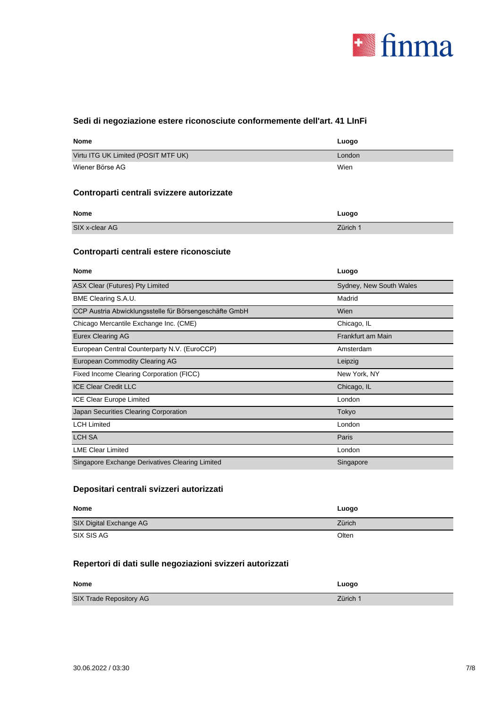

### **Sedi di negoziazione estere riconosciute conformemente dell'art. 41 LInFi**

| <b>Nome</b>                         | Luogo  |
|-------------------------------------|--------|
| Virtu ITG UK Limited (POSIT MTF UK) | London |
| Wiener Börse AG                     | Wien   |

## **Controparti centrali svizzere autorizzate**

| <b>Nome</b>    | Luogo    |
|----------------|----------|
| SIX x-clear AG | Zürich 1 |

## **Controparti centrali estere riconosciute**

| <b>Nome</b>                                            | Luogo                   |
|--------------------------------------------------------|-------------------------|
| ASX Clear (Futures) Pty Limited                        | Sydney, New South Wales |
| BME Clearing S.A.U.                                    | Madrid                  |
| CCP Austria Abwicklungsstelle für Börsengeschäfte GmbH | Wien                    |
| Chicago Mercantile Exchange Inc. (CME)                 | Chicago, IL             |
| <b>Eurex Clearing AG</b>                               | Frankfurt am Main       |
| European Central Counterparty N.V. (EuroCCP)           | Amsterdam               |
| <b>European Commodity Clearing AG</b>                  | Leipzig                 |
| Fixed Income Clearing Corporation (FICC)               | New York, NY            |
| <b>ICE Clear Credit LLC</b>                            | Chicago, IL             |
| <b>ICE Clear Europe Limited</b>                        | London                  |
| Japan Securities Clearing Corporation                  | Tokyo                   |
| <b>LCH Limited</b>                                     | London                  |
| <b>LCH SA</b>                                          | Paris                   |
| <b>LME Clear Limited</b>                               | London                  |
| Singapore Exchange Derivatives Clearing Limited        | Singapore               |

### **Depositari centrali svizzeri autorizzati**

| <b>Nome</b>             | Luogo  |
|-------------------------|--------|
| SIX Digital Exchange AG | Zürich |
| SIX SIS AG              | Olten  |

### **Repertori di dati sulle negoziazioni svizzeri autorizzati**

| <b>Nome</b>             | Luogo    |
|-------------------------|----------|
| SIX Trade Repository AG | Zürich 1 |